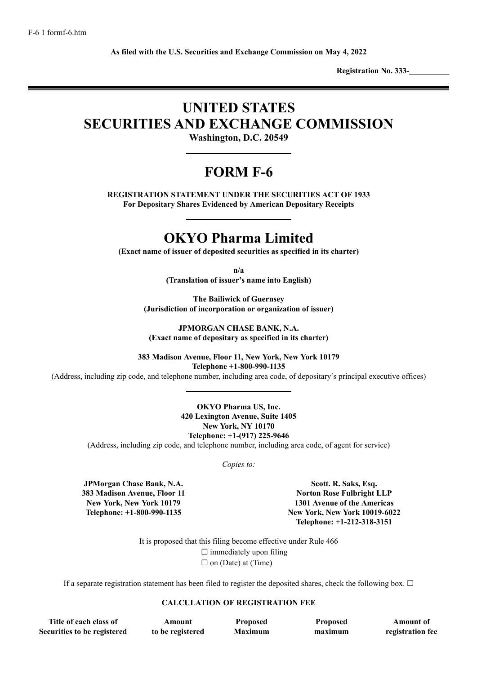**As filed with the U.S. Securities and Exchange Commission on May 4, 2022**

**Registration No. 333-\_\_\_\_\_\_\_\_\_\_**

# **UNITED STATES SECURITIES AND EXCHANGE COMMISSION**

**Washington, D.C. 20549**

## **FORM F-6**

**REGISTRATION STATEMENT UNDER THE SECURITIES ACT OF 1933 For Depositary Shares Evidenced by American Depositary Receipts**

### **OKYO Pharma Limited**

**(Exact name of issuer of deposited securities as specified in its charter)**

**n/a**

**(Translation of issuer's name into English)**

**The Bailiwick of Guernsey (Jurisdiction of incorporation or organization of issuer)**

**JPMORGAN CHASE BANK, N.A. (Exact name of depositary as specified in its charter)**

**383 Madison Avenue, Floor 11, New York, New York 10179 Telephone +1-800-990-1135**

(Address, including zip code, and telephone number, including area code, of depositary's principal executive offices)

**OKYO Pharma US, Inc. 420 Lexington Avenue, Suite 1405 New York, NY 10170 Telephone: +1-(917) 225-9646**

(Address, including zip code, and telephone number, including area code, of agent for service)

*Copies to:*

**JPMorgan Chase Bank, N.A. 383 Madison Avenue, Floor 11 New York, New York 10179 Telephone: +1-800-990-1135**

**Scott. R. Saks, Esq. Norton Rose Fulbright LLP 1301 Avenue of the Americas New York, New York 10019-6022 Telephone: +1-212-318-3151**

It is proposed that this filing become effective under Rule 466  $\Box$  immediately upon filing  $\Box$  on (Date) at (Time)

If a separate registration statement has been filed to register the deposited shares, check the following box.  $\Box$ 

#### **CALCULATION OF REGISTRATION FEE**

**Title of each class of Securities to be registered**

**Amount to be registered**

**Proposed Maximum**

**Proposed maximum**

**Amount of registration fee**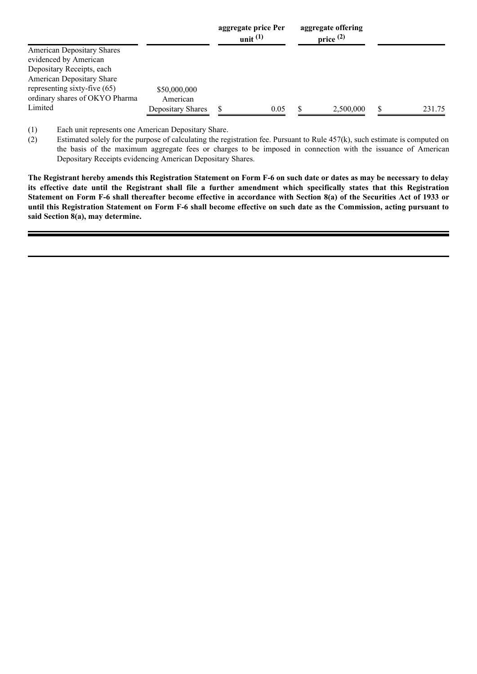|                                |                   | aggregate price Per<br>unit $(1)$ |      | aggregate offering<br>price $(2)$ |        |
|--------------------------------|-------------------|-----------------------------------|------|-----------------------------------|--------|
| American Depositary Shares     |                   |                                   |      |                                   |        |
| evidenced by American          |                   |                                   |      |                                   |        |
| Depositary Receipts, each      |                   |                                   |      |                                   |        |
| American Depositary Share      |                   |                                   |      |                                   |        |
| representing sixty-five $(65)$ | \$50,000,000      |                                   |      |                                   |        |
| ordinary shares of OKYO Pharma | American          |                                   |      |                                   |        |
| Limited                        | Depositary Shares |                                   | 0.05 | 2,500,000                         | 231.75 |

(1) Each unit represents one American Depositary Share.

(2) Estimated solely for the purpose of calculating the registration fee. Pursuant to Rule  $457(k)$ , such estimate is computed on the basis of the maximum aggregate fees or charges to be imposed in connection with the issuance of American Depositary Receipts evidencing American Depositary Shares.

The Registrant hereby amends this Registration Statement on Form F-6 on such date or dates as may be necessary to delay its effective date until the Registrant shall file a further amendment which specifically states that this Registration Statement on Form F-6 shall thereafter become effective in accordance with Section 8(a) of the Securities Act of 1933 or until this Registration Statement on Form F-6 shall become effective on such date as the Commission, acting pursuant to **said Section 8(a), may determine.**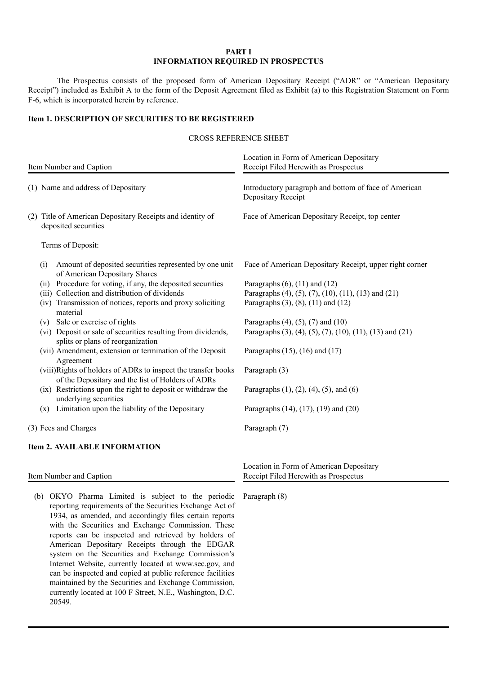#### **PART I INFORMATION REQUIRED IN PROSPECTUS**

The Prospectus consists of the proposed form of American Depositary Receipt ("ADR" or "American Depositary Receipt") included as Exhibit A to the form of the Deposit Agreement filed as Exhibit (a) to this Registration Statement on Form F-6, which is incorporated herein by reference.

#### **Item 1. DESCRIPTION OF SECURITIES TO BE REGISTERED**

#### CROSS REFERENCE SHEET

|                                    | Item Number and Caption                                                                                            | Location in Form of American Depositary<br>Receipt Filed Herewith as Prospectus |  |  |  |  |
|------------------------------------|--------------------------------------------------------------------------------------------------------------------|---------------------------------------------------------------------------------|--|--|--|--|
| (1) Name and address of Depositary |                                                                                                                    | Introductory paragraph and bottom of face of American<br>Depositary Receipt     |  |  |  |  |
|                                    | (2) Title of American Depositary Receipts and identity of<br>deposited securities                                  | Face of American Depositary Receipt, top center                                 |  |  |  |  |
|                                    | Terms of Deposit:                                                                                                  |                                                                                 |  |  |  |  |
| (i)                                | Amount of deposited securities represented by one unit<br>of American Depositary Shares                            | Face of American Depositary Receipt, upper right corner                         |  |  |  |  |
| (ii)                               | Procedure for voting, if any, the deposited securities                                                             | Paragraphs $(6)$ , $(11)$ and $(12)$                                            |  |  |  |  |
|                                    | (iii) Collection and distribution of dividends                                                                     | Paragraphs (4), (5), (7), (10), (11), (13) and (21)                             |  |  |  |  |
|                                    | (iv) Transmission of notices, reports and proxy soliciting<br>material                                             | Paragraphs $(3)$ , $(8)$ , $(11)$ and $(12)$                                    |  |  |  |  |
| (v)                                | Sale or exercise of rights                                                                                         | Paragraphs $(4)$ , $(5)$ , $(7)$ and $(10)$                                     |  |  |  |  |
|                                    | (vi) Deposit or sale of securities resulting from dividends,<br>splits or plans of reorganization                  | Paragraphs (3), (4), (5), (7), (10), (11), (13) and (21)                        |  |  |  |  |
|                                    | (vii) Amendment, extension or termination of the Deposit<br>Agreement                                              | Paragraphs $(15)$ , $(16)$ and $(17)$                                           |  |  |  |  |
|                                    | (viii)Rights of holders of ADRs to inspect the transfer books<br>of the Depositary and the list of Holders of ADRs | Paragraph (3)                                                                   |  |  |  |  |
|                                    | (ix) Restrictions upon the right to deposit or withdraw the<br>underlying securities                               | Paragraphs $(1)$ , $(2)$ , $(4)$ , $(5)$ , and $(6)$                            |  |  |  |  |
| (x)                                | Limitation upon the liability of the Depositary                                                                    | Paragraphs (14), (17), (19) and (20)                                            |  |  |  |  |
|                                    | (3) Fees and Charges                                                                                               | Paragraph (7)                                                                   |  |  |  |  |
|                                    | <b>Item 2. AVAILABLE INFORMATION</b>                                                                               |                                                                                 |  |  |  |  |

Item Number and Caption

(b) OKYO Pharma Limited is subject to the periodic reporting requirements of the Securities Exchange Act of 1934, as amended, and accordingly files certain reports with the Securities and Exchange Commission. These reports can be inspected and retrieved by holders of American Depositary Receipts through the EDGAR system on the Securities and Exchange Commission's Internet Website, currently located at www.sec.gov, and can be inspected and copied at public reference facilities maintained by the Securities and Exchange Commission, currently located at 100 F Street, N.E., Washington, D.C. 20549.

Location in Form of American Depositary Receipt Filed Herewith as Prospectus

Paragraph (8)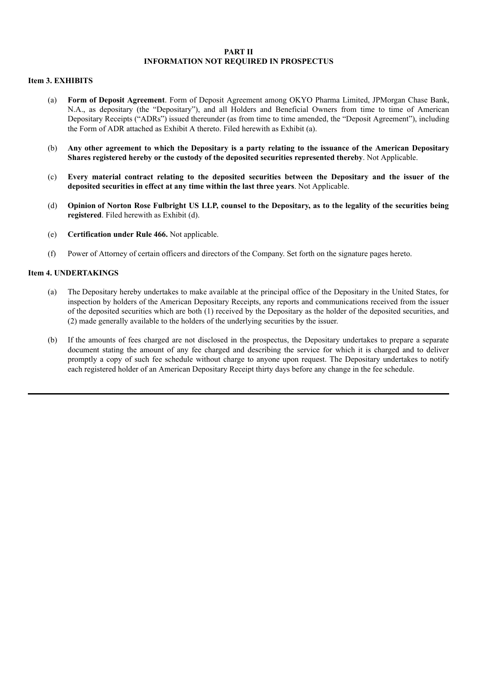#### **PART II INFORMATION NOT REQUIRED IN PROSPECTUS**

#### **Item 3. EXHIBITS**

- (a) **Form of Deposit Agreement**. Form of Deposit Agreement among OKYO Pharma Limited, JPMorgan Chase Bank, N.A., as depositary (the "Depositary"), and all Holders and Beneficial Owners from time to time of American Depositary Receipts ("ADRs") issued thereunder (as from time to time amended, the "Deposit Agreement"), including the Form of ADR attached as Exhibit A thereto. Filed herewith as Exhibit (a).
- (b) Any other agreement to which the Depositary is a party relating to the issuance of the American Depositary **Shares registered hereby or the custody of the deposited securities represented thereby**. Not Applicable.
- (c) **Every material contract relating to the deposited securities between the Depositary and the issuer of the deposited securities in effect at any time within the last three years**. Not Applicable.
- (d) Opinion of Norton Rose Fulbright US LLP, counsel to the Depositary, as to the legality of the securities being **registered**. Filed herewith as Exhibit (d).
- (e) **Certification under Rule 466.** Not applicable.
- (f) Power of Attorney of certain officers and directors of the Company. Set forth on the signature pages hereto.

#### **Item 4. UNDERTAKINGS**

- (a) The Depositary hereby undertakes to make available at the principal office of the Depositary in the United States, for inspection by holders of the American Depositary Receipts, any reports and communications received from the issuer of the deposited securities which are both (1) received by the Depositary as the holder of the deposited securities, and (2) made generally available to the holders of the underlying securities by the issuer.
- (b) If the amounts of fees charged are not disclosed in the prospectus, the Depositary undertakes to prepare a separate document stating the amount of any fee charged and describing the service for which it is charged and to deliver promptly a copy of such fee schedule without charge to anyone upon request. The Depositary undertakes to notify each registered holder of an American Depositary Receipt thirty days before any change in the fee schedule.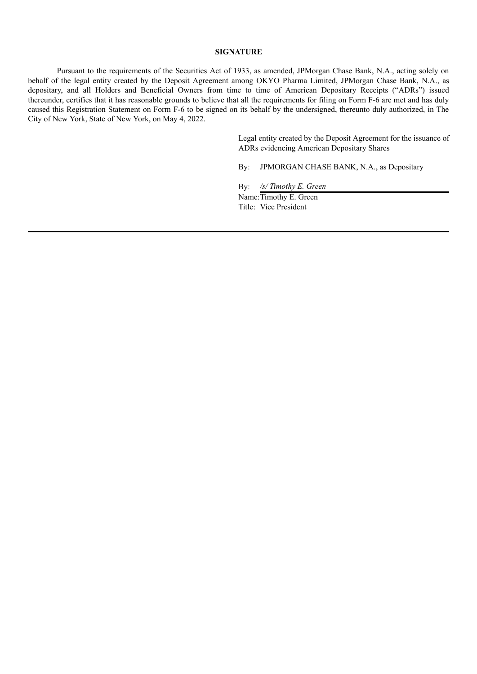#### **SIGNATURE**

Pursuant to the requirements of the Securities Act of 1933, as amended, JPMorgan Chase Bank, N.A., acting solely on behalf of the legal entity created by the Deposit Agreement among OKYO Pharma Limited, JPMorgan Chase Bank, N.A., as depositary, and all Holders and Beneficial Owners from time to time of American Depositary Receipts ("ADRs") issued thereunder, certifies that it has reasonable grounds to believe that all the requirements for filing on Form F-6 are met and has duly caused this Registration Statement on Form F-6 to be signed on its behalf by the undersigned, thereunto duly authorized, in The City of New York, State of New York, on May 4, 2022.

> Legal entity created by the Deposit Agreement for the issuance of ADRs evidencing American Depositary Shares

By: JPMORGAN CHASE BANK, N.A., as Depositary

By: */s/ Timothy E. Green*

Name:Timothy E. Green Title: Vice President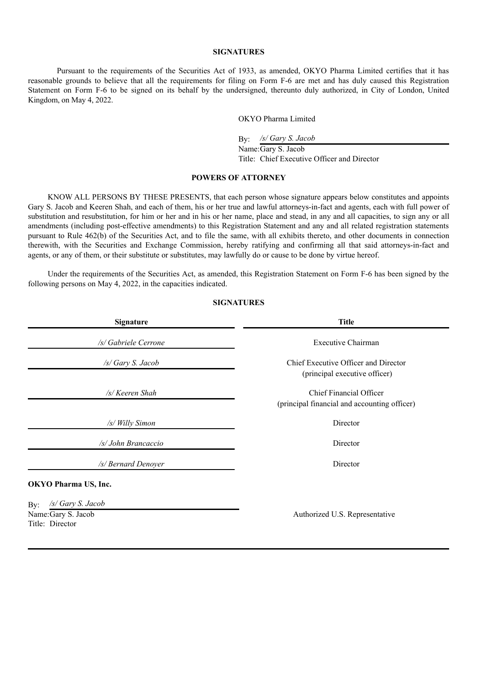#### **SIGNATURES**

Pursuant to the requirements of the Securities Act of 1933, as amended, OKYO Pharma Limited certifies that it has reasonable grounds to believe that all the requirements for filing on Form F-6 are met and has duly caused this Registration Statement on Form F-6 to be signed on its behalf by the undersigned, thereunto duly authorized, in City of London, United Kingdom, on May 4, 2022.

#### OKYO Pharma Limited

By: */s/ Gary S. Jacob*

Name:Gary S. Jacob Title: Chief Executive Officer and Director

#### **POWERS OF ATTORNEY**

KNOW ALL PERSONS BY THESE PRESENTS, that each person whose signature appears below constitutes and appoints Gary S. Jacob and Keeren Shah, and each of them, his or her true and lawful attorneys-in-fact and agents, each with full power of substitution and resubstitution, for him or her and in his or her name, place and stead, in any and all capacities, to sign any or all amendments (including post-effective amendments) to this Registration Statement and any and all related registration statements pursuant to Rule 462(b) of the Securities Act, and to file the same, with all exhibits thereto, and other documents in connection therewith, with the Securities and Exchange Commission, hereby ratifying and confirming all that said attorneys-in-fact and agents, or any of them, or their substitute or substitutes, may lawfully do or cause to be done by virtue hereof.

Under the requirements of the Securities Act, as amended, this Registration Statement on Form F-6 has been signed by the following persons on May 4, 2022, in the capacities indicated.

| <b>Signature</b>                                                   | <b>Title</b>                                                            |  |  |  |
|--------------------------------------------------------------------|-------------------------------------------------------------------------|--|--|--|
| /s/ Gabriele Cerrone                                               | Executive Chairman                                                      |  |  |  |
| /s/ Gary S. Jacob                                                  | Chief Executive Officer and Director<br>(principal executive officer)   |  |  |  |
| /s/ Keeren Shah                                                    | Chief Financial Officer<br>(principal financial and accounting officer) |  |  |  |
| /s/ Willy Simon                                                    | Director                                                                |  |  |  |
| /s/ John Brancaccio                                                | Director                                                                |  |  |  |
| /s/ Bernard Denoyer                                                | Director                                                                |  |  |  |
| <b>OKYO Pharma US, Inc.</b>                                        |                                                                         |  |  |  |
| /s/ Gary S. Jacob<br>By:<br>Name: Gary S. Jacob<br>Title: Director | Authorized U.S. Representative                                          |  |  |  |

#### **SIGNATURES**